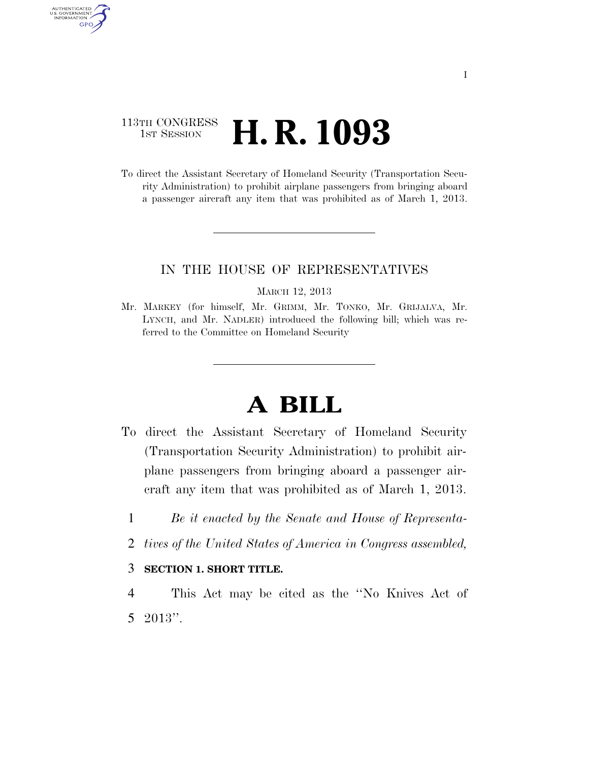### 113TH CONGRESS <sup>TH CONGRESS</sup> **H. R. 1093**

AUTHENTICATED<br>U.S. GOVERNMENT<br>INFORMATION **GPO** 

> To direct the Assistant Secretary of Homeland Security (Transportation Security Administration) to prohibit airplane passengers from bringing aboard a passenger aircraft any item that was prohibited as of March 1, 2013.

### IN THE HOUSE OF REPRESENTATIVES

MARCH 12, 2013

Mr. MARKEY (for himself, Mr. GRIMM, Mr. TONKO, Mr. GRIJALVA, Mr. LYNCH, and Mr. NADLER) introduced the following bill; which was referred to the Committee on Homeland Security

# **A BILL**

- To direct the Assistant Secretary of Homeland Security (Transportation Security Administration) to prohibit airplane passengers from bringing aboard a passenger aircraft any item that was prohibited as of March 1, 2013.
	- 1 *Be it enacted by the Senate and House of Representa-*
	- 2 *tives of the United States of America in Congress assembled,*

### 3 **SECTION 1. SHORT TITLE.**

4 This Act may be cited as the ''No Knives Act of 5 2013''.